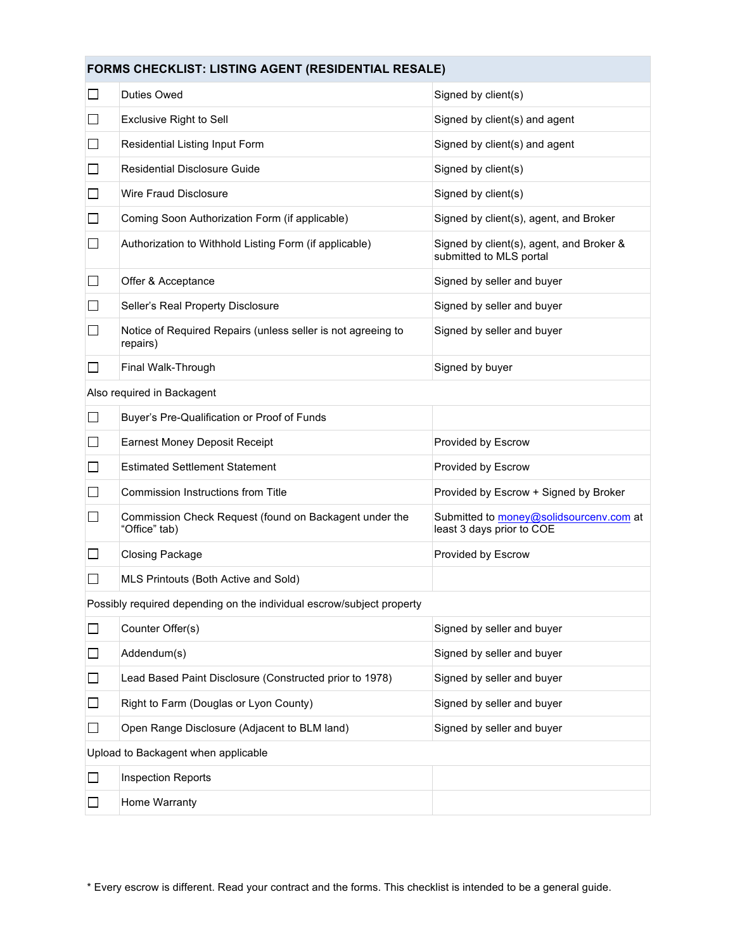## **FORMS CHECKLIST: LISTING AGENT (RESIDENTIAL RESALE)**

| $\Box$                                                                | Duties Owed                                                              | Signed by client(s)                                                  |  |  |
|-----------------------------------------------------------------------|--------------------------------------------------------------------------|----------------------------------------------------------------------|--|--|
| ⊔                                                                     | <b>Exclusive Right to Sell</b>                                           | Signed by client(s) and agent                                        |  |  |
| □                                                                     | Residential Listing Input Form                                           | Signed by client(s) and agent                                        |  |  |
| ⊔                                                                     | <b>Residential Disclosure Guide</b>                                      | Signed by client(s)                                                  |  |  |
| $\Box$                                                                | Wire Fraud Disclosure                                                    | Signed by client(s)                                                  |  |  |
| $\Box$                                                                | Coming Soon Authorization Form (if applicable)                           | Signed by client(s), agent, and Broker                               |  |  |
| $\Box$                                                                | Authorization to Withhold Listing Form (if applicable)                   | Signed by client(s), agent, and Broker &<br>submitted to MLS portal  |  |  |
| □                                                                     | Offer & Acceptance                                                       | Signed by seller and buyer                                           |  |  |
| ⊔                                                                     | Seller's Real Property Disclosure                                        | Signed by seller and buyer                                           |  |  |
| ⊔                                                                     | Notice of Required Repairs (unless seller is not agreeing to<br>repairs) | Signed by seller and buyer                                           |  |  |
| ⊔                                                                     | Final Walk-Through                                                       | Signed by buyer                                                      |  |  |
|                                                                       | Also required in Backagent                                               |                                                                      |  |  |
| □                                                                     | Buyer's Pre-Qualification or Proof of Funds                              |                                                                      |  |  |
| $\Box$                                                                | <b>Earnest Money Deposit Receipt</b>                                     | Provided by Escrow                                                   |  |  |
| $\Box$                                                                | <b>Estimated Settlement Statement</b>                                    | Provided by Escrow                                                   |  |  |
| П                                                                     | Commission Instructions from Title                                       | Provided by Escrow + Signed by Broker                                |  |  |
| ⊔                                                                     | Commission Check Request (found on Backagent under the<br>"Office" tab)  | Submitted to money@solidsourcenv.com at<br>least 3 days prior to COE |  |  |
| ⊔                                                                     | <b>Closing Package</b>                                                   | Provided by Escrow                                                   |  |  |
|                                                                       | MLS Printouts (Both Active and Sold)                                     |                                                                      |  |  |
| Possibly required depending on the individual escrow/subject property |                                                                          |                                                                      |  |  |
| $\Box$                                                                | Counter Offer(s)                                                         | Signed by seller and buyer                                           |  |  |
| $\Box$                                                                | Addendum(s)                                                              | Signed by seller and buyer                                           |  |  |
| □                                                                     | Lead Based Paint Disclosure (Constructed prior to 1978)                  | Signed by seller and buyer                                           |  |  |
| □                                                                     | Right to Farm (Douglas or Lyon County)                                   | Signed by seller and buyer                                           |  |  |
| $\Box$                                                                | Open Range Disclosure (Adjacent to BLM land)                             | Signed by seller and buyer                                           |  |  |
| Upload to Backagent when applicable                                   |                                                                          |                                                                      |  |  |
| $\Box$                                                                | <b>Inspection Reports</b>                                                |                                                                      |  |  |
| ΙI                                                                    | Home Warranty                                                            |                                                                      |  |  |
|                                                                       |                                                                          |                                                                      |  |  |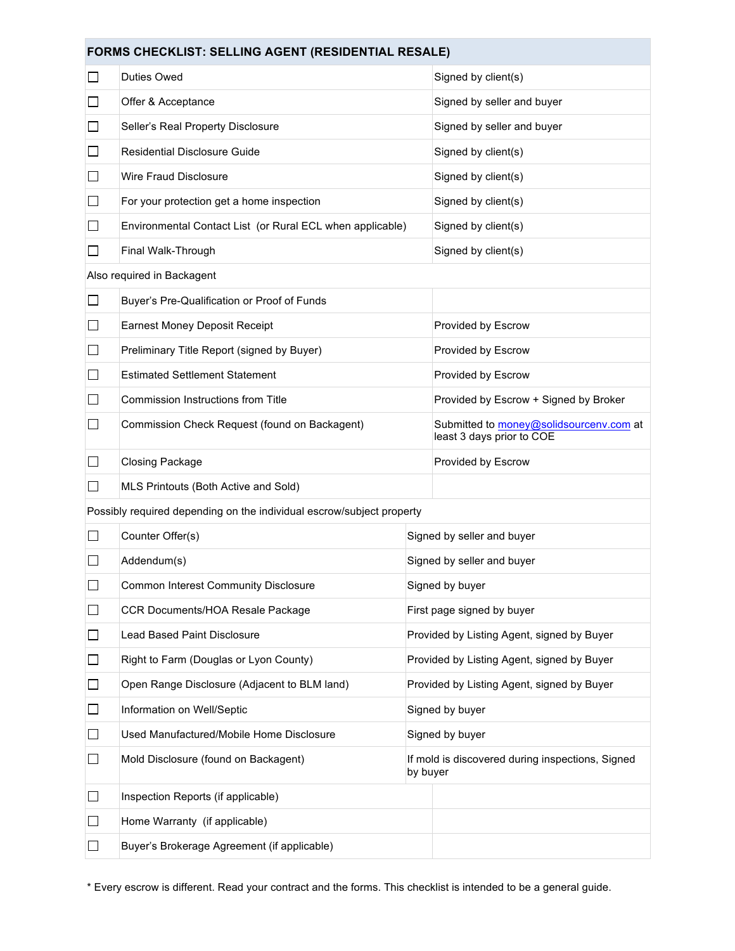## **FORMS CHECKLIST: SELLING AGENT (RESIDENTIAL RESALE)**

| <b>Duties Owed</b>                                                    |                            | Signed by client(s)                                                  |  |
|-----------------------------------------------------------------------|----------------------------|----------------------------------------------------------------------|--|
| Offer & Acceptance                                                    |                            | Signed by seller and buyer                                           |  |
| Seller's Real Property Disclosure                                     |                            | Signed by seller and buyer                                           |  |
| <b>Residential Disclosure Guide</b>                                   |                            | Signed by client(s)                                                  |  |
| Wire Fraud Disclosure                                                 |                            | Signed by client(s)                                                  |  |
| For your protection get a home inspection                             |                            | Signed by client(s)                                                  |  |
| Environmental Contact List (or Rural ECL when applicable)             |                            | Signed by client(s)                                                  |  |
| Final Walk-Through                                                    |                            | Signed by client(s)                                                  |  |
| Also required in Backagent                                            |                            |                                                                      |  |
| Buyer's Pre-Qualification or Proof of Funds                           |                            |                                                                      |  |
| <b>Earnest Money Deposit Receipt</b>                                  |                            | Provided by Escrow                                                   |  |
| Preliminary Title Report (signed by Buyer)                            |                            | Provided by Escrow                                                   |  |
| <b>Estimated Settlement Statement</b>                                 |                            | Provided by Escrow                                                   |  |
| Commission Instructions from Title                                    |                            | Provided by Escrow + Signed by Broker                                |  |
| Commission Check Request (found on Backagent)                         |                            | Submitted to money@solidsourcenv.com at<br>least 3 days prior to COE |  |
| <b>Closing Package</b>                                                |                            | Provided by Escrow                                                   |  |
| MLS Printouts (Both Active and Sold)                                  |                            |                                                                      |  |
| Possibly required depending on the individual escrow/subject property |                            |                                                                      |  |
| Counter Offer(s)                                                      |                            | Signed by seller and buyer                                           |  |
| Addendum(s)                                                           | Signed by seller and buyer |                                                                      |  |
| <b>Common Interest Community Disclosure</b>                           |                            | Signed by buyer                                                      |  |
| CCR Documents/HOA Resale Package                                      |                            | First page signed by buyer                                           |  |
| <b>Lead Based Paint Disclosure</b>                                    |                            | Provided by Listing Agent, signed by Buyer                           |  |
| Right to Farm (Douglas or Lyon County)                                |                            | Provided by Listing Agent, signed by Buyer                           |  |
| Open Range Disclosure (Adjacent to BLM land)                          |                            | Provided by Listing Agent, signed by Buyer                           |  |
| Information on Well/Septic                                            |                            | Signed by buyer                                                      |  |
| Used Manufactured/Mobile Home Disclosure                              |                            | Signed by buyer                                                      |  |
| Mold Disclosure (found on Backagent)                                  |                            | If mold is discovered during inspections, Signed<br>by buyer         |  |
| Inspection Reports (if applicable)                                    |                            |                                                                      |  |
| Home Warranty (if applicable)                                         |                            |                                                                      |  |
| Buyer's Brokerage Agreement (if applicable)                           |                            |                                                                      |  |
|                                                                       |                            |                                                                      |  |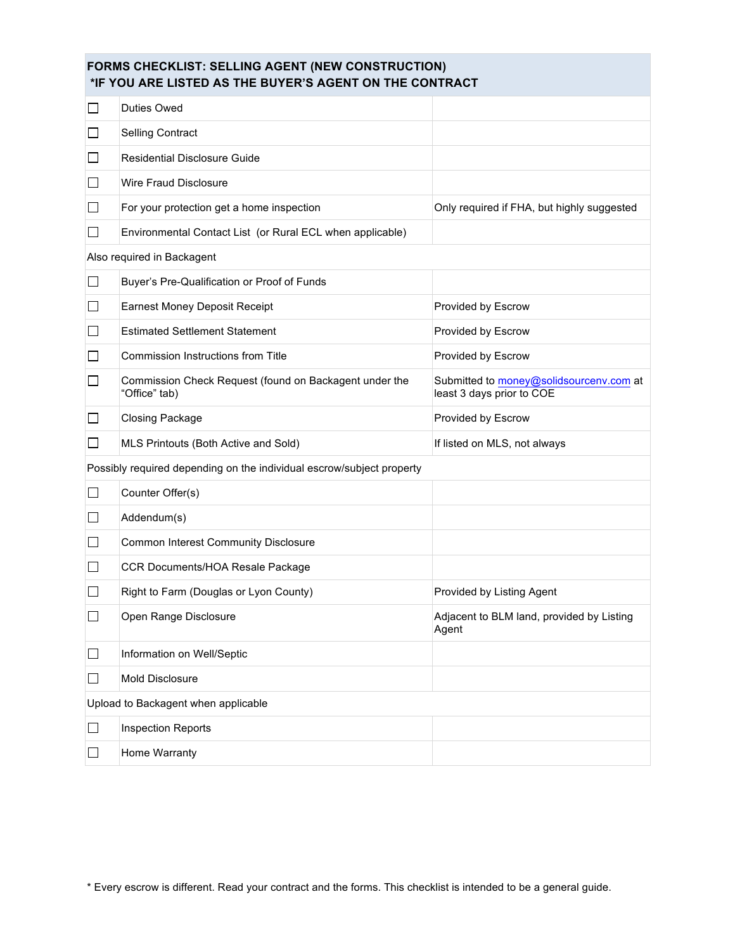| <b>FORMS CHECKLIST: SELLING AGENT (NEW CONSTRUCTION)</b><br>*IF YOU ARE LISTED AS THE BUYER'S AGENT ON THE CONTRACT |                                                                         |                                                                      |  |  |
|---------------------------------------------------------------------------------------------------------------------|-------------------------------------------------------------------------|----------------------------------------------------------------------|--|--|
| ப                                                                                                                   | Duties Owed                                                             |                                                                      |  |  |
| ⊔                                                                                                                   | <b>Selling Contract</b>                                                 |                                                                      |  |  |
| $\Box$                                                                                                              | <b>Residential Disclosure Guide</b>                                     |                                                                      |  |  |
| ⊔                                                                                                                   | Wire Fraud Disclosure                                                   |                                                                      |  |  |
| ⊔                                                                                                                   | For your protection get a home inspection                               | Only required if FHA, but highly suggested                           |  |  |
| $\Box$                                                                                                              | Environmental Contact List (or Rural ECL when applicable)               |                                                                      |  |  |
|                                                                                                                     | Also required in Backagent                                              |                                                                      |  |  |
| $\Box$                                                                                                              | Buyer's Pre-Qualification or Proof of Funds                             |                                                                      |  |  |
| ⊔                                                                                                                   | <b>Earnest Money Deposit Receipt</b>                                    | Provided by Escrow                                                   |  |  |
| $\Box$                                                                                                              | <b>Estimated Settlement Statement</b>                                   | Provided by Escrow                                                   |  |  |
| ⊔                                                                                                                   | Commission Instructions from Title                                      | Provided by Escrow                                                   |  |  |
| ⊔                                                                                                                   | Commission Check Request (found on Backagent under the<br>"Office" tab) | Submitted to money@solidsourcenv.com at<br>least 3 days prior to COE |  |  |
| ப                                                                                                                   | <b>Closing Package</b>                                                  | Provided by Escrow                                                   |  |  |
| ப                                                                                                                   | MLS Printouts (Both Active and Sold)                                    | If listed on MLS, not always                                         |  |  |
| Possibly required depending on the individual escrow/subject property                                               |                                                                         |                                                                      |  |  |
| $\Box$                                                                                                              | Counter Offer(s)                                                        |                                                                      |  |  |
| □                                                                                                                   | Addendum(s)                                                             |                                                                      |  |  |
| $\mathbb{R}^n$                                                                                                      | Common Interest Community Disclosure                                    |                                                                      |  |  |
|                                                                                                                     | CCR Documents/HOA Resale Package                                        |                                                                      |  |  |
|                                                                                                                     | Right to Farm (Douglas or Lyon County)                                  | Provided by Listing Agent                                            |  |  |
| $\Box$                                                                                                              | Open Range Disclosure                                                   | Adjacent to BLM land, provided by Listing<br>Agent                   |  |  |
| ⊔                                                                                                                   | Information on Well/Septic                                              |                                                                      |  |  |
| $\Box$                                                                                                              | Mold Disclosure                                                         |                                                                      |  |  |
| Upload to Backagent when applicable                                                                                 |                                                                         |                                                                      |  |  |
| $\Box$                                                                                                              | <b>Inspection Reports</b>                                               |                                                                      |  |  |
| $\Box$                                                                                                              | Home Warranty                                                           |                                                                      |  |  |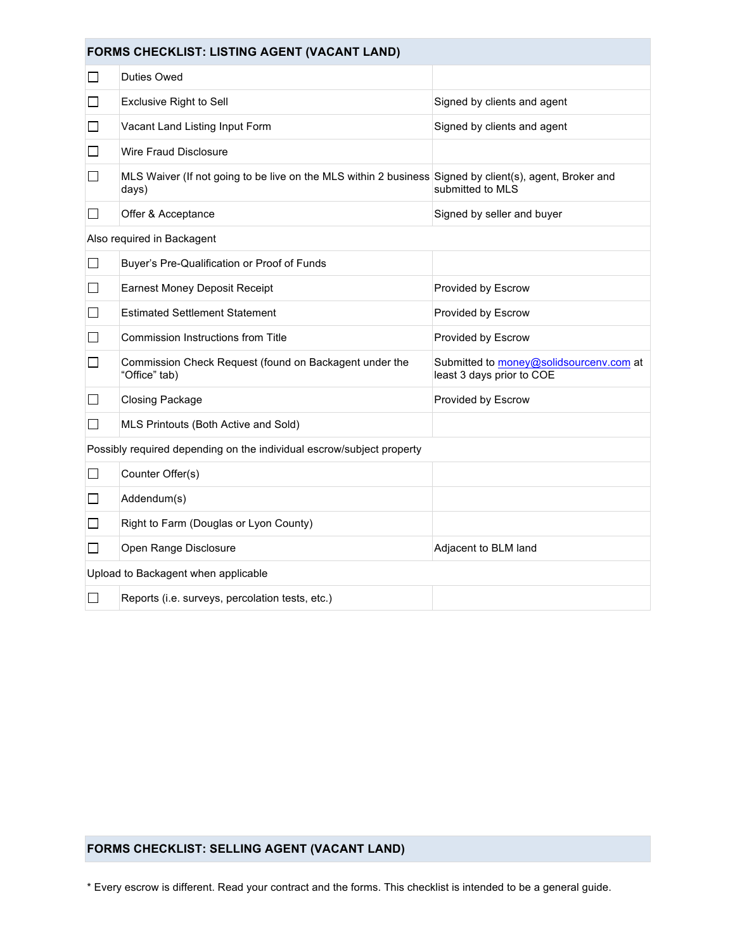| FORMS CHECKLIST: LISTING AGENT (VACANT LAND)                          |                                                                                                                  |                                                                      |  |
|-----------------------------------------------------------------------|------------------------------------------------------------------------------------------------------------------|----------------------------------------------------------------------|--|
| ΙI                                                                    | <b>Duties Owed</b>                                                                                               |                                                                      |  |
| $\Box$                                                                | <b>Exclusive Right to Sell</b>                                                                                   | Signed by clients and agent                                          |  |
| $\Box$                                                                | Vacant Land Listing Input Form                                                                                   | Signed by clients and agent                                          |  |
|                                                                       | Wire Fraud Disclosure                                                                                            |                                                                      |  |
| $\Box$                                                                | MLS Waiver (If not going to be live on the MLS within 2 business Signed by client(s), agent, Broker and<br>days) | submitted to MLS                                                     |  |
|                                                                       | Offer & Acceptance                                                                                               | Signed by seller and buyer                                           |  |
|                                                                       | Also required in Backagent                                                                                       |                                                                      |  |
| $\Box$                                                                | Buyer's Pre-Qualification or Proof of Funds                                                                      |                                                                      |  |
| $\Box$                                                                | <b>Earnest Money Deposit Receipt</b>                                                                             | Provided by Escrow                                                   |  |
| $\mathbf{I}$                                                          | <b>Estimated Settlement Statement</b>                                                                            | Provided by Escrow                                                   |  |
| $\mathsf{L}$                                                          | Commission Instructions from Title                                                                               | Provided by Escrow                                                   |  |
| $\Box$                                                                | Commission Check Request (found on Backagent under the<br>"Office" tab)                                          | Submitted to money@solidsourcenv.com at<br>least 3 days prior to COE |  |
| $\mathbf{I}$                                                          | <b>Closing Package</b>                                                                                           | Provided by Escrow                                                   |  |
| $\mathbf{L}$                                                          | MLS Printouts (Both Active and Sold)                                                                             |                                                                      |  |
| Possibly required depending on the individual escrow/subject property |                                                                                                                  |                                                                      |  |
| $\mathsf{L}$                                                          | Counter Offer(s)                                                                                                 |                                                                      |  |
| $\Box$                                                                | Addendum(s)                                                                                                      |                                                                      |  |
| ΙI                                                                    | Right to Farm (Douglas or Lyon County)                                                                           |                                                                      |  |
| $\mathbf{L}$                                                          | Open Range Disclosure                                                                                            | Adjacent to BLM land                                                 |  |
| Upload to Backagent when applicable                                   |                                                                                                                  |                                                                      |  |
| $\overline{\phantom{a}}$                                              | Reports (i.e. surveys, percolation tests, etc.)                                                                  |                                                                      |  |

## **FORMS CHECKLIST: SELLING AGENT (VACANT LAND)**